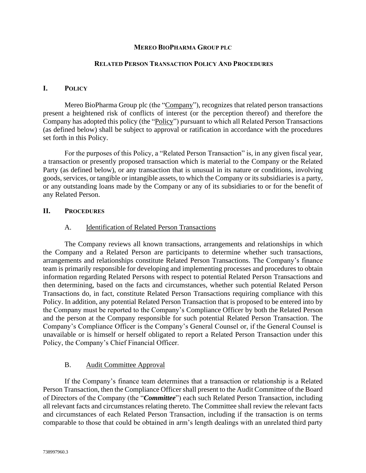## **MEREO BIOPHARMA GROUP PLC**

#### **RELATED PERSON TRANSACTION POLICY AND PROCEDURES**

## **I. POLICY**

Mereo BioPharma Group plc (the "Company"), recognizes that related person transactions present a heightened risk of conflicts of interest (or the perception thereof) and therefore the Company has adopted this policy (the "Policy") pursuant to which all Related Person Transactions (as defined below) shall be subject to approval or ratification in accordance with the procedures set forth in this Policy.

For the purposes of this Policy, a "Related Person Transaction" is, in any given fiscal year, a transaction or presently proposed transaction which is material to the Company or the Related Party (as defined below), or any transaction that is unusual in its nature or conditions, involving goods, services, or tangible or intangible assets, to which the Company or its subsidiaries is a party, or any outstanding loans made by the Company or any of its subsidiaries to or for the benefit of any Related Person.

## **II. PROCEDURES**

#### A. Identification of Related Person Transactions

The Company reviews all known transactions, arrangements and relationships in which the Company and a Related Person are participants to determine whether such transactions, arrangements and relationships constitute Related Person Transactions. The Company's finance team is primarily responsible for developing and implementing processes and procedures to obtain information regarding Related Persons with respect to potential Related Person Transactions and then determining, based on the facts and circumstances, whether such potential Related Person Transactions do, in fact, constitute Related Person Transactions requiring compliance with this Policy. In addition, any potential Related Person Transaction that is proposed to be entered into by the Company must be reported to the Company's Compliance Officer by both the Related Person and the person at the Company responsible for such potential Related Person Transaction. The Company's Compliance Officer is the Company's General Counsel or, if the General Counsel is unavailable or is himself or herself obligated to report a Related Person Transaction under this Policy, the Company's Chief Financial Officer.

#### B. Audit Committee Approval

If the Company's finance team determines that a transaction or relationship is a Related Person Transaction, then the Compliance Officer shall present to the Audit Committee of the Board of Directors of the Company (the "*Committee*") each such Related Person Transaction, including all relevant facts and circumstances relating thereto. The Committee shall review the relevant facts and circumstances of each Related Person Transaction, including if the transaction is on terms comparable to those that could be obtained in arm's length dealings with an unrelated third party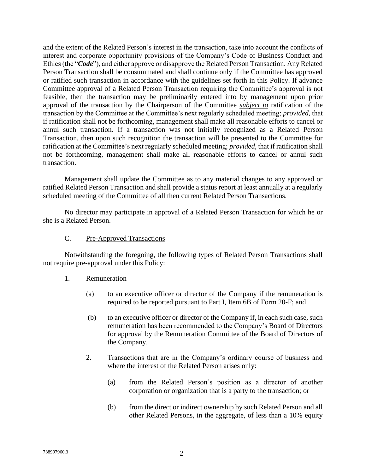and the extent of the Related Person's interest in the transaction, take into account the conflicts of interest and corporate opportunity provisions of the Company's Code of Business Conduct and Ethics (the "*Code*"), and either approve or disapprove the Related Person Transaction. Any Related Person Transaction shall be consummated and shall continue only if the Committee has approved or ratified such transaction in accordance with the guidelines set forth in this Policy. If advance Committee approval of a Related Person Transaction requiring the Committee's approval is not feasible, then the transaction may be preliminarily entered into by management upon prior approval of the transaction by the Chairperson of the Committee *subject to* ratification of the transaction by the Committee at the Committee's next regularly scheduled meeting; *provided*, that if ratification shall not be forthcoming, management shall make all reasonable efforts to cancel or annul such transaction. If a transaction was not initially recognized as a Related Person Transaction, then upon such recognition the transaction will be presented to the Committee for ratification at the Committee's next regularly scheduled meeting; *provided*, that if ratification shall not be forthcoming, management shall make all reasonable efforts to cancel or annul such transaction.

Management shall update the Committee as to any material changes to any approved or ratified Related Person Transaction and shall provide a status report at least annually at a regularly scheduled meeting of the Committee of all then current Related Person Transactions.

No director may participate in approval of a Related Person Transaction for which he or she is a Related Person.

# C. Pre-Approved Transactions

Notwithstanding the foregoing, the following types of Related Person Transactions shall not require pre-approval under this Policy:

- 1. Remuneration
	- (a) to an executive officer or director of the Company if the remuneration is required to be reported pursuant to Part I, Item 6B of Form 20-F; and
	- (b) to an executive officer or director of the Company if, in each such case, such remuneration has been recommended to the Company's Board of Directors for approval by the Remuneration Committee of the Board of Directors of the Company.
	- 2. Transactions that are in the Company's ordinary course of business and where the interest of the Related Person arises only:
		- (a) from the Related Person's position as a director of another corporation or organization that is a party to the transaction; or
		- (b) from the direct or indirect ownership by such Related Person and all other Related Persons, in the aggregate, of less than a 10% equity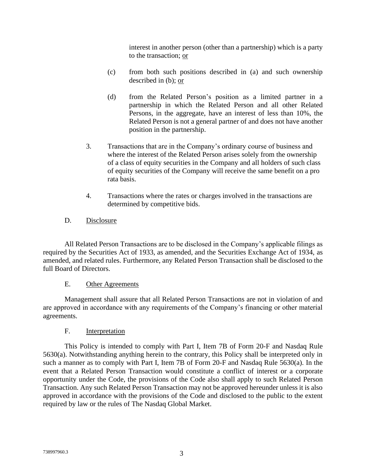interest in another person (other than a partnership) which is a party to the transaction; or

- (c) from both such positions described in (a) and such ownership described in (b); or
- (d) from the Related Person's position as a limited partner in a partnership in which the Related Person and all other Related Persons, in the aggregate, have an interest of less than 10%, the Related Person is not a general partner of and does not have another position in the partnership.
- 3. Transactions that are in the Company's ordinary course of business and where the interest of the Related Person arises solely from the ownership of a class of equity securities in the Company and all holders of such class of equity securities of the Company will receive the same benefit on a pro rata basis.
- 4. Transactions where the rates or charges involved in the transactions are determined by competitive bids.
- D. Disclosure

All Related Person Transactions are to be disclosed in the Company's applicable filings as required by the Securities Act of 1933, as amended, and the Securities Exchange Act of 1934, as amended, and related rules. Furthermore, any Related Person Transaction shall be disclosed to the full Board of Directors.

# E. Other Agreements

Management shall assure that all Related Person Transactions are not in violation of and are approved in accordance with any requirements of the Company's financing or other material agreements.

# F. Interpretation

This Policy is intended to comply with Part I, Item 7B of Form 20-F and Nasdaq Rule 5630(a). Notwithstanding anything herein to the contrary, this Policy shall be interpreted only in such a manner as to comply with Part I, Item 7B of Form 20-F and Nasdaq Rule 5630(a). In the event that a Related Person Transaction would constitute a conflict of interest or a corporate opportunity under the Code, the provisions of the Code also shall apply to such Related Person Transaction. Any such Related Person Transaction may not be approved hereunder unless it is also approved in accordance with the provisions of the Code and disclosed to the public to the extent required by law or the rules of The Nasdaq Global Market.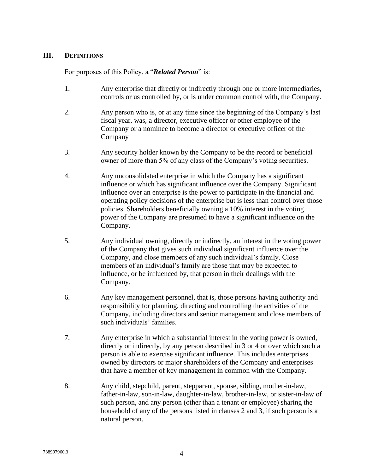# **III. DEFINITIONS**

For purposes of this Policy, a "*Related Person*" is:

- 1. Any enterprise that directly or indirectly through one or more intermediaries, controls or us controlled by, or is under common control with, the Company.
- 2. Any person who is, or at any time since the beginning of the Company's last fiscal year, was, a director, executive officer or other employee of the Company or a nominee to become a director or executive officer of the Company
- 3. Any security holder known by the Company to be the record or beneficial owner of more than 5% of any class of the Company's voting securities.
- 4. Any unconsolidated enterprise in which the Company has a significant influence or which has significant influence over the Company. Significant influence over an enterprise is the power to participate in the financial and operating policy decisions of the enterprise but is less than control over those policies. Shareholders beneficially owning a 10% interest in the voting power of the Company are presumed to have a significant influence on the Company.
- 5. Any individual owning, directly or indirectly, an interest in the voting power of the Company that gives such individual significant influence over the Company, and close members of any such individual's family. Close members of an individual's family are those that may be expected to influence, or be influenced by, that person in their dealings with the Company.
- 6. Any key management personnel, that is, those persons having authority and responsibility for planning, directing and controlling the activities of the Company, including directors and senior management and close members of such individuals' families.
- 7. Any enterprise in which a substantial interest in the voting power is owned, directly or indirectly, by any person described in 3 or 4 or over which such a person is able to exercise significant influence. This includes enterprises owned by directors or major shareholders of the Company and enterprises that have a member of key management in common with the Company.
- 8. Any child, stepchild, parent, stepparent, spouse, sibling, mother-in-law, father-in-law, son-in-law, daughter-in-law, brother-in-law, or sister-in-law of such person, and any person (other than a tenant or employee) sharing the household of any of the persons listed in clauses 2 and 3, if such person is a natural person.